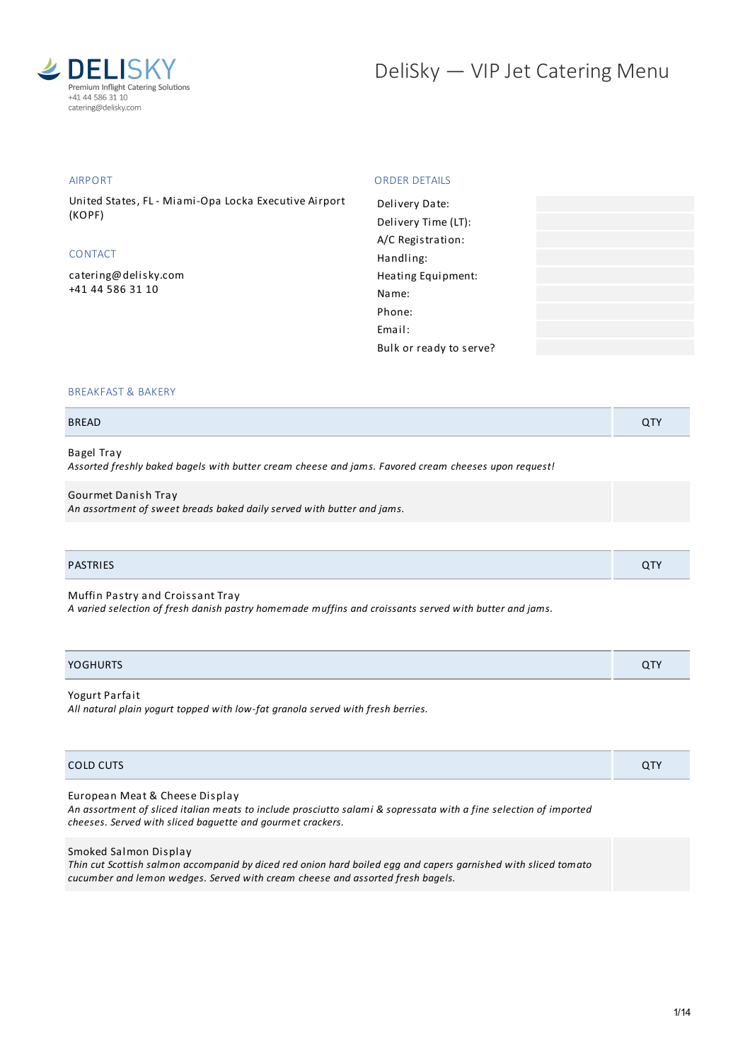

## AIRPORT

United States, FL - Miami-Opa Locka Executive Airport (KOPF)

# CONTACT

[catering@delisky.com](mailto:catering@delisky.com) +41 44 586 31 10

## ORDER DETAILS

| Delivery Date:          |  |
|-------------------------|--|
| Delivery Time (LT):     |  |
| A/C Registration:       |  |
| Handling:               |  |
| Heating Equipment:      |  |
| Name:                   |  |
| Phone:                  |  |
| Fmail:                  |  |
| Bulk or ready to serve? |  |
|                         |  |

## BREAKFAST & BAKERY

| <b>BREAD</b> |  |
|--------------|--|
|              |  |

# Bagel Tray

*Assorted freshly baked bagels with butter cream cheese and jams. Favored cream cheeses upon request!*

#### Gourmet Danish Tray

*An assortment of sweet breads baked daily served with butter and jams.*

## PASTRIES QTY

Muffin Pastry and Croissant Tray

*A varied selection of fresh danish pastry homemade muffins and croissants served with butter and jams.*

| <b>YOGHURTS</b> | $\sim$ $-$<br>$\alpha$ . |
|-----------------|--------------------------|
|                 |                          |

## Yogurt Parfait

*All natural plain yogurt topped with low-fat granola served with fresh berries.*

| COLD CUTS                                                                                                                                                                                                         | QTY |
|-------------------------------------------------------------------------------------------------------------------------------------------------------------------------------------------------------------------|-----|
| European Meat & Cheese Display<br>An assortment of sliced italian meats to include prosciutto salami & sopressata with a fine selection of imported<br>cheeses. Served with sliced baquette and gourmet crackers. |     |
| Smoked Salmon Display<br>Thin cut Scottish salmon accompanid by diced red onion hard hoiled eag and capers garnished with sliced tomato                                                                           |     |

Thin cut Scottish salmon accompanid by diced red onion hard boiled egg and capers garnished with sliced tomato *cucumber and lemon wedges. Served with cream cheese and assorted fresh bagels.*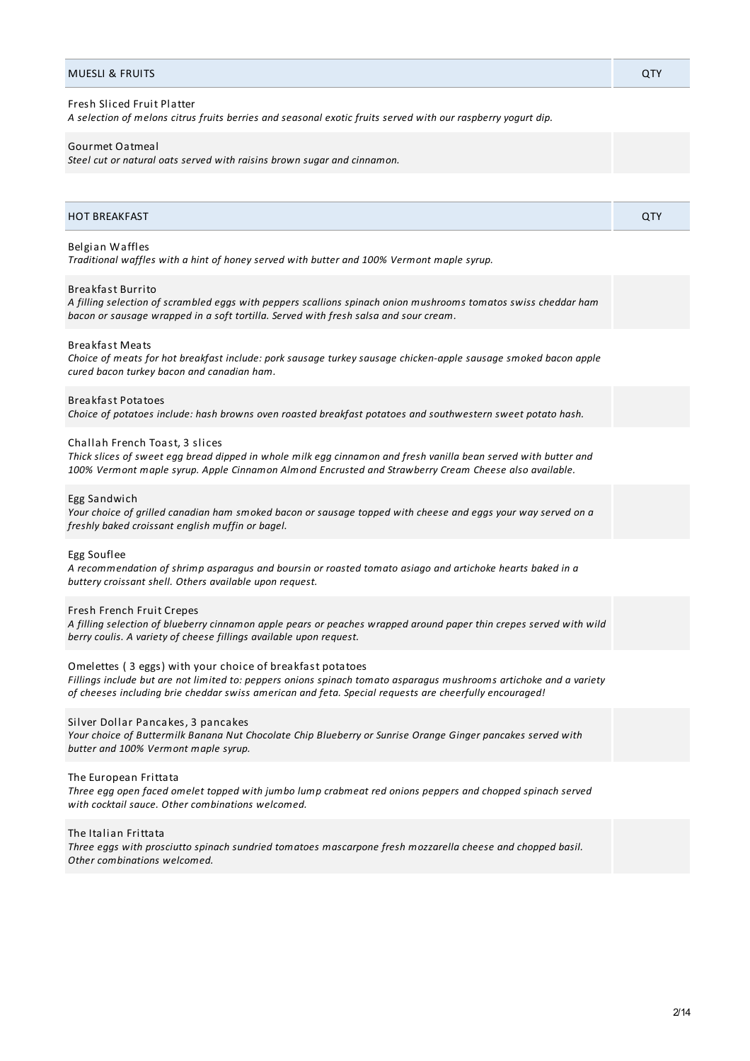| A selection of melons citrus fruits berries and seasonal exotic fruits served with our raspberry yogurt dip.<br>Gourmet Oatmeal                                                                                                                                                           |     |
|-------------------------------------------------------------------------------------------------------------------------------------------------------------------------------------------------------------------------------------------------------------------------------------------|-----|
| Steel cut or natural oats served with raisins brown sugar and cinnamon.                                                                                                                                                                                                                   |     |
|                                                                                                                                                                                                                                                                                           |     |
| <b>HOT BREAKFAST</b>                                                                                                                                                                                                                                                                      | QTY |
| Belgian Waffles<br>Traditional waffles with a hint of honey served with butter and 100% Vermont maple syrup.                                                                                                                                                                              |     |
| <b>Breakfast Burrito</b><br>A filling selection of scrambled eggs with peppers scallions spinach onion mushrooms tomatos swiss cheddar ham<br>bacon or sausage wrapped in a soft tortilla. Served with fresh salsa and sour cream.                                                        |     |
| <b>Breakfast Meats</b><br>Choice of meats for hot breakfast include: pork sausage turkey sausage chicken-apple sausage smoked bacon apple<br>cured bacon turkey bacon and canadian ham.                                                                                                   |     |
| <b>Breakfast Potatoes</b><br>Choice of potatoes include: hash browns oven roasted breakfast potatoes and southwestern sweet potato hash.                                                                                                                                                  |     |
| Challah French Toast, 3 slices<br>Thick slices of sweet egg bread dipped in whole milk egg cinnamon and fresh vanilla bean served with butter and<br>100% Vermont maple syrup. Apple Cinnamon Almond Encrusted and Strawberry Cream Cheese also available.                                |     |
| Egg Sandwich<br>Your choice of grilled canadian ham smoked bacon or sausage topped with cheese and eggs your way served on a<br>freshly baked croissant english muffin or bagel.                                                                                                          |     |
| Egg Souflee<br>A recommendation of shrimp asparagus and boursin or roasted tomato asiago and artichoke hearts baked in a<br>buttery croissant shell. Others available upon request.                                                                                                       |     |
| Fresh French Fruit Crepes<br>A filling selection of blueberry cinnamon apple pears or peaches wrapped around paper thin crepes served with wild<br>berry coulis. A variety of cheese fillings available upon request.                                                                     |     |
| Omelettes (3 eggs) with your choice of breakfast potatoes<br>Fillings include but are not limited to: peppers onions spinach tomato asparagus mushrooms artichoke and a variety<br>of cheeses including brie cheddar swiss american and feta. Special requests are cheerfully encouraged! |     |
| Silver Dollar Pancakes, 3 pancakes<br>Your choice of Buttermilk Banana Nut Chocolate Chip Blueberry or Sunrise Orange Ginger pancakes served with<br>butter and 100% Vermont maple syrup.                                                                                                 |     |
| The European Frittata<br>Three egg open faced omelet topped with jumbo lump crabmeat red onions peppers and chopped spinach served<br>with cocktail sauce. Other combinations welcomed.                                                                                                   |     |
| The Italian Frittata<br>Three eggs with prosciutto spinach sundried tomatoes mascarpone fresh mozzarella cheese and chopped basil.<br>Other combinations welcomed.                                                                                                                        |     |

MUESLI & FRUITS QTY

Fresh Sliced Fruit Platter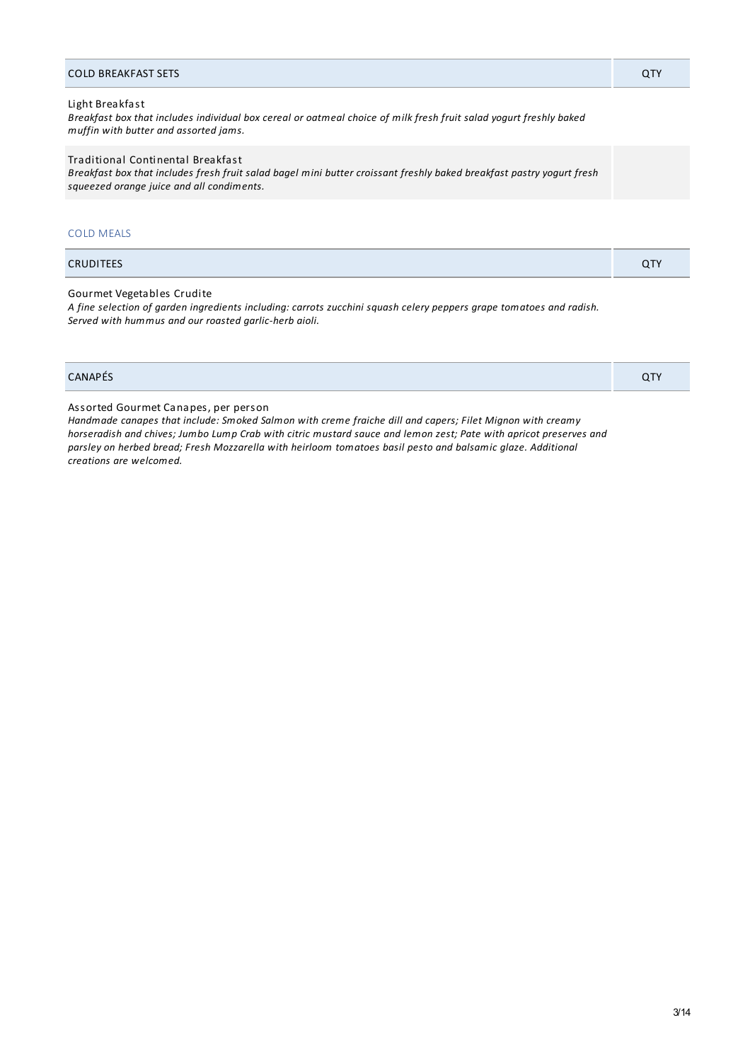| <b>COLD BREAKFAST SETS</b>                                                                                                                                                     | <b>QTY</b> |
|--------------------------------------------------------------------------------------------------------------------------------------------------------------------------------|------------|
| Light Breakfast<br>Breakfast box that includes individual box cereal or oatmeal choice of milk fresh fruit salad yogurt freshly baked<br>muffin with butter and assorted jams. |            |
| Traditional Continental Breakfast<br>Breakfast box that includes fresh fruit salad bagel mini butter croissant freshly baked breakfast pastry yogurt fresh                     |            |

## COLD MEALS

| <b>CRUDITEES</b><br>. . |
|-------------------------|
|                         |

Gourmet Vegetables Crudite

A fine selection of garden ingredients including: carrots zucchini squash celery peppers grape tomatoes and radish. *Served with hummus and our roasted garlic-herb aioli.*

| CANAPÉS | QTY |
|---------|-----|
|---------|-----|

Assorted Gourmet Canapes, per person

*squeezed orange juice and all condiments.*

*Handmade canapes that include: Smoked Salmon with creme fraiche dill and capers; Filet Mignon with creamy* horseradish and chives; Jumbo Lump Crab with citric mustard sauce and lemon zest; Pate with apricot preserves and *parsley on herbed bread; Fresh Mozzarella with heirloom tomatoes basil pesto and balsamic glaze. Additional creations are welcomed.*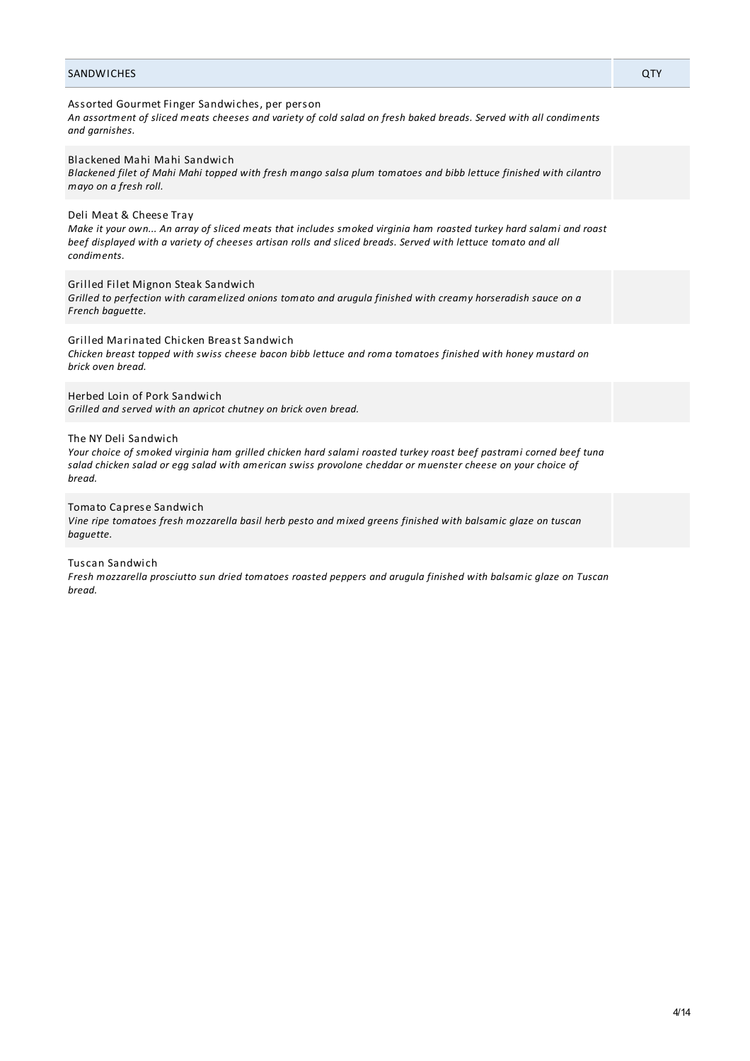## SANDWICHES QTY

## Assorted Gourmet Finger Sandwiches, per person

An assortment of sliced meats cheeses and variety of cold salad on fresh baked breads. Served with all condiments *and garnishes.*

Blackened Mahi Mahi Sandwich

Blackened filet of Mahi Mahi topped with fresh mango salsa plum tomatoes and bibb lettuce finished with cilantro *mayo on a fresh roll.*

## Deli Meat & Cheese Tray

Make it your own... An array of sliced meats that includes smoked virginia ham roasted turkey hard salami and roast beef displayed with a variety of cheeses artisan rolls and sliced breads. Served with lettuce tomato and all *condiments.*

Grilled Filet Mignon Steak Sandwich

*Grilled to perfection with caramelized onions tomato and arugula finished with creamy horseradish sauce on a French baguette.*

Grilled Marinated Chicken Breast Sandwich

Chicken breast topped with swiss cheese bacon bibb lettuce and roma tomatoes finished with honey mustard on *brick oven bread.*

Herbed Loin of Pork Sandwich

*Grilled and served with an apricot chutney on brick oven bread.*

#### The NY Deli Sandwich

Your choice of smoked virginia ham grilled chicken hard salami roasted turkey roast beef pastrami corned beef tuna salad chicken salad or egg salad with american swiss provolone cheddar or muenster cheese on your choice of *bread.*

#### Tomato Caprese Sandwich

Vine ripe tomatoes fresh mozzarella basil herb pesto and mixed greens finished with balsamic glaze on tuscan *baguette.*

## Tuscan Sandwich

Fresh mozzarella prosciutto sun dried tomatoes roasted peppers and arugula finished with balsamic glaze on Tuscan *bread.*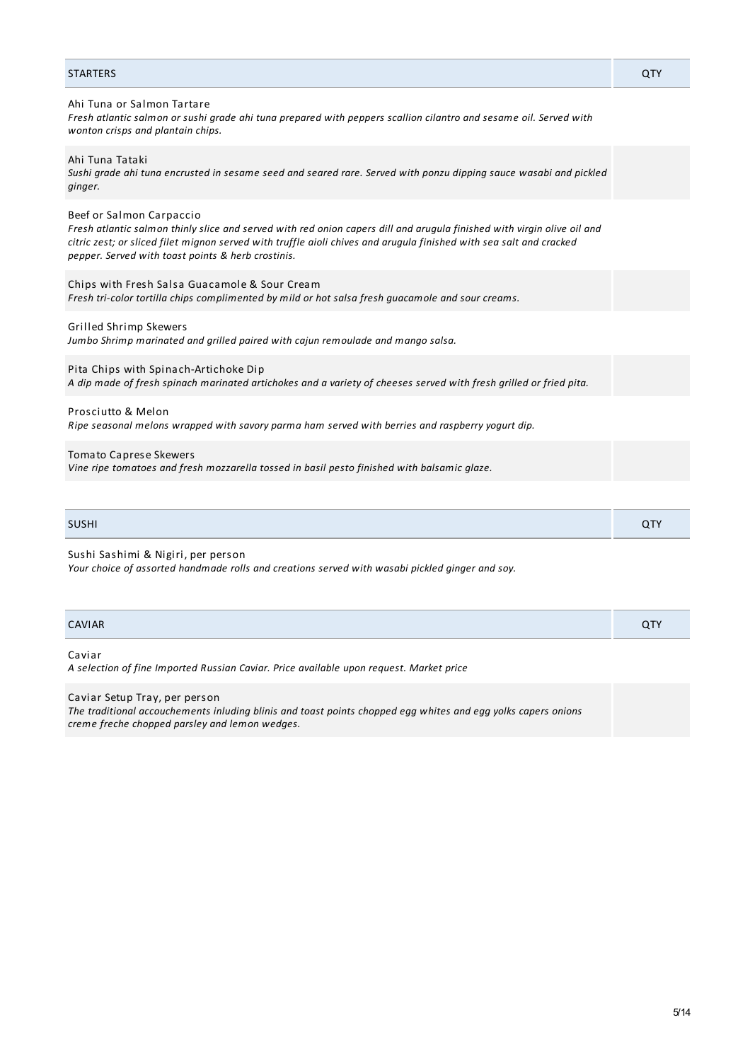| <b>STARTERS</b>                                                                                                                                                                                                                                                                                                                  | <b>QTY</b> |
|----------------------------------------------------------------------------------------------------------------------------------------------------------------------------------------------------------------------------------------------------------------------------------------------------------------------------------|------------|
| Ahi Tuna or Salmon Tartare<br>Fresh atlantic salmon or sushi grade ahi tuna prepared with peppers scallion cilantro and sesame oil. Served with<br>wonton crisps and plantain chips.                                                                                                                                             |            |
| Ahi Tuna Tataki<br>Sushi grade ahi tuna encrusted in sesame seed and seared rare. Served with ponzu dipping sauce wasabi and pickled<br>ginger.                                                                                                                                                                                  |            |
| Beef or Salmon Carpaccio<br>Fresh atlantic salmon thinly slice and served with red onion capers dill and arugula finished with virgin olive oil and<br>citric zest; or sliced filet mignon served with truffle aioli chives and arugula finished with sea salt and cracked<br>pepper. Served with toast points & herb crostinis. |            |
| Chips with Fresh Salsa Guacamole & Sour Cream<br>Fresh tri-color tortilla chips complimented by mild or hot salsa fresh quacamole and sour creams.                                                                                                                                                                               |            |
| Grilled Shrimp Skewers<br>Jumbo Shrimp marinated and grilled paired with cajun remoulade and mango salsa.                                                                                                                                                                                                                        |            |
| Pita Chips with Spinach-Artichoke Dip<br>A dip made of fresh spinach marinated artichokes and a variety of cheeses served with fresh grilled or fried pita.                                                                                                                                                                      |            |
| Prosciutto & Melon<br>Ripe seasonal melons wrapped with savory parma ham served with berries and raspberry yogurt dip.                                                                                                                                                                                                           |            |
| <b>Tomato Caprese Skewers</b><br>Vine ripe tomatoes and fresh mozzarella tossed in basil pesto finished with balsamic glaze.                                                                                                                                                                                                     |            |

| <b>SUSHI</b> | u |
|--------------|---|
|              |   |

Sushi Sashimi & Nigiri, per person *Your choice of assorted handmade rolls and creations served with wasabi pickled ginger and soy.*

| CAVIAR |              |
|--------|--------------|
|        | $\mathbf{u}$ |

Caviar

*A selection of fine Imported Russian Caviar. Price available upon request. Market price*

# Caviar Setup Tray, per person

*The traditional accouchements inluding blinis and toast points chopped egg whites and egg yolks capers onions creme freche chopped parsley and lemon wedges.*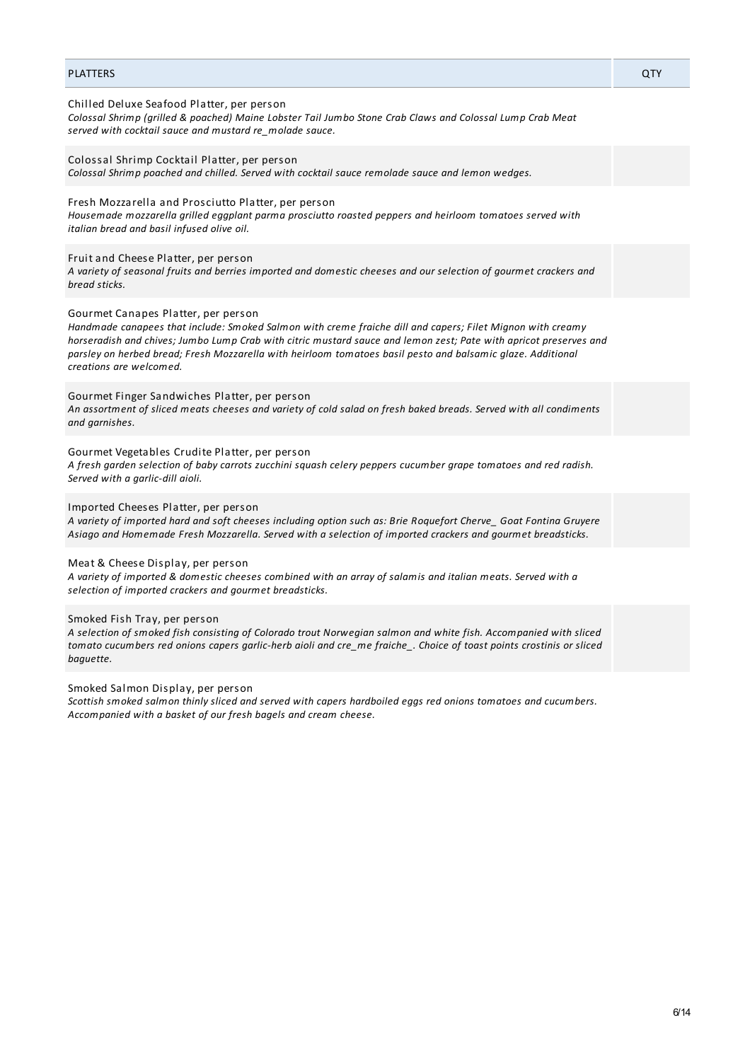## PLATTERS QTY

## Chilled Deluxe Seafood Platter, per person

*Colossal Shrimp (grilled & poached) Maine Lobster Tail Jumbo Stone Crab Claws and Colossal Lump Crab Meat served with cocktail sauce and mustard re\_molade sauce.*

Colossal Shrimp Cocktail Platter, per person *Colossal Shrimp poached and chilled. Served with cocktail sauce remolade sauce and lemon wedges.*

Fresh Mozzarella and Prosciutto Platter, per person

*Housemade mozzarella grilled eggplant parma prosciutto roasted peppers and heirloom tomatoes served with italian bread and basil infused olive oil.*

#### Fruit and Cheese Platter, per person

A variety of seasonal fruits and berries imported and domestic cheeses and our selection of gourmet crackers and *bread sticks.*

#### Gourmet Canapes Platter, per person

*Handmade canapees that include: Smoked Salmon with creme fraiche dill and capers; Filet Mignon with creamy* horseradish and chives; Jumbo Lump Crab with citric mustard sauce and lemon zest; Pate with apricot preserves and *parsley on herbed bread; Fresh Mozzarella with heirloom tomatoes basil pesto and balsamic glaze. Additional creations are welcomed.*

Gourmet Finger Sandwiches Platter, per person

An assortment of sliced meats cheeses and variety of cold salad on fresh baked breads. Served with all condiments *and garnishes.*

#### Gourmet Vegetables Crudite Platter, per person

A fresh garden selection of baby carrots zucchini squash celery peppers cucumber grape tomatoes and red radish. *Served with a garlic-dill aioli.*

Imported Cheeses Platter, per person

A variety of imported hard and soft cheeses including option such as: Brie Roquefort Cherve\_ Goat Fontina Gruyere *Asiago and Homemade Fresh Mozzarella. Served with a selection of imported crackers and gourmet breadsticks.*

## Meat & Cheese Display, per person

A variety of imported & domestic cheeses combined with an array of salamis and italian meats. Served with a *selection of imported crackers and gourmet breadsticks.*

#### Smoked Fish Tray, per person

A selection of smoked fish consisting of Colorado trout Norwegian salmon and white fish. Accompanied with sliced tomato cucumbers red onions capers garlic-herb aioli and cre\_me fraiche\_. Choice of toast points crostinis or sliced *baguette.*

Smoked Salmon Display, per person

*Scottish smoked salmon thinly sliced and served with capers hardboiled eggs red onions tomatoes and cucumbers. Accompanied with a basket of our fresh bagels and cream cheese.*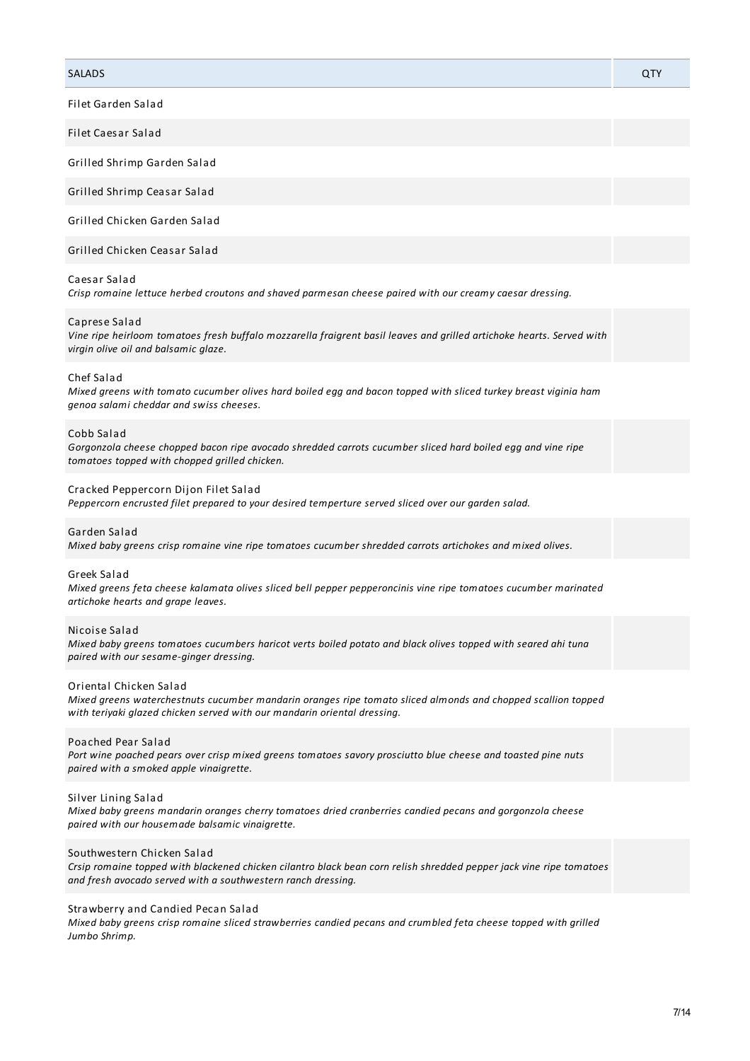## SALADS QTY

Filet Garden Salad

Filet Caesar Salad

Grilled Shrimp Garden Salad

Grilled Shrimp Ceasar Salad

Grilled Chicken Garden Salad

Grilled Chicken Ceasar Salad

#### Caesar Salad

*Crisp romaine lettuce herbed croutons and shaved parmesan cheese paired with our creamy caesar dressing.*

### Caprese Salad

Vine ripe heirloom tomatoes fresh buffalo mozzarella fraigrent basil leaves and grilled artichoke hearts. Served with *virgin olive oil and balsamic glaze.*

#### Chef Salad

Mixed greens with tomato cucumber olives hard boiled egg and bacon topped with sliced turkey breast viginia ham *genoa salami cheddar and swiss cheeses.*

#### Cobb Salad

*Gorgonzola cheese chopped bacon ripe avocado shredded carrots cucumber sliced hard boiled egg and vine ripe tomatoes topped with chopped grilled chicken.*

#### Cracked Peppercorn Dijon Filet Salad

*Peppercorn encrusted filet prepared to your desired temperture served sliced over our garden salad.*

#### Garden Salad

*Mixed baby greens crisp romaine vine ripe tomatoes cucumber shredded carrots artichokes and mixed olives.*

#### Greek Salad

*Mixed greens feta cheese kalamata olives sliced bell pepper pepperoncinis vine ripe tomatoes cucumber marinated artichoke hearts and grape leaves.*

#### Nicoise Salad

Mixed baby greens tomatoes cucumbers haricot verts boiled potato and black olives topped with seared ahi tuna *paired with our sesame-ginger dressing.*

#### Oriental Chicken Salad

*Mixed greens waterchestnuts cucumber mandarin oranges ripe tomato sliced almonds and chopped scallion topped with teriyaki glazed chicken served with our mandarin oriental dressing.*

#### Poached Pear Salad

Port wine poached pears over crisp mixed greens tomatoes savory prosciutto blue cheese and toasted pine nuts *paired with a smoked apple vinaigrette.*

#### Silver Lining Salad

*Mixed baby greens mandarin oranges cherry tomatoes dried cranberries candied pecans and gorgonzola cheese paired with our housemade balsamic vinaigrette.*

### Southwestern Chicken Salad

Crsip romaine topped with blackened chicken cilantro black bean corn relish shredded pepper jack vine ripe tomatoes *and fresh avocado served with a southwestern ranch dressing.*

#### Strawberry and Candied Pecan Salad

*Mixed baby greens crisp romaine sliced strawberries candied pecans and crumbled feta cheese topped with grilled Jumbo Shrimp.*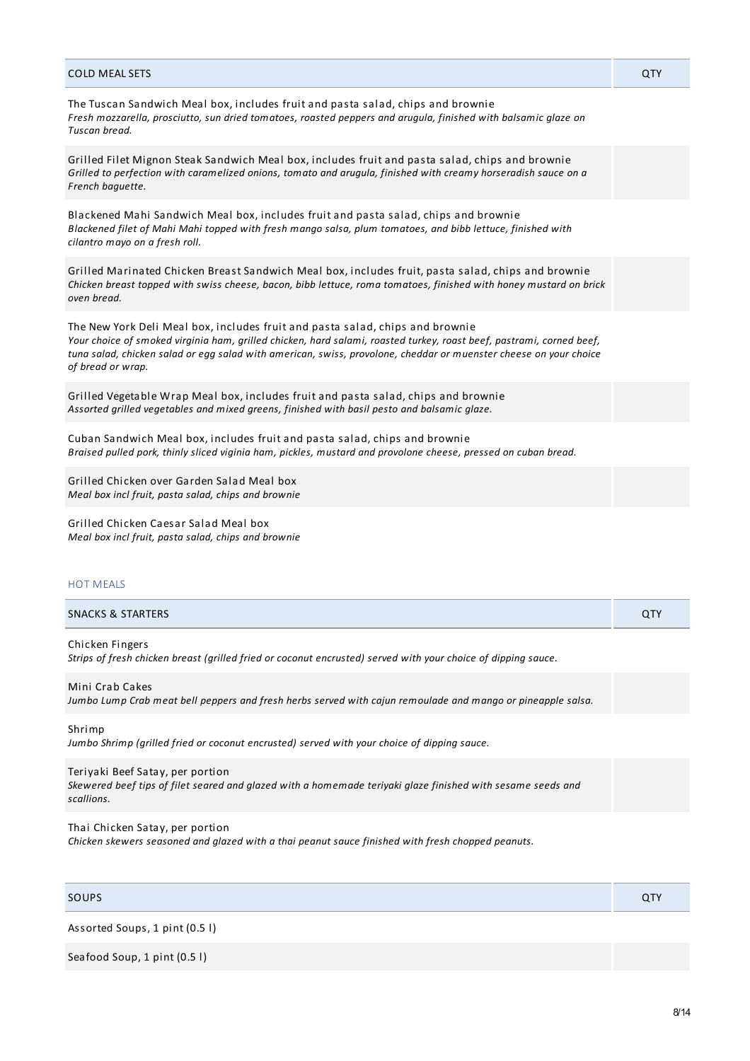| <b>COLD MEAL SETS</b>                                                                                                                                                                                                                                                                                                                           | QTY |
|-------------------------------------------------------------------------------------------------------------------------------------------------------------------------------------------------------------------------------------------------------------------------------------------------------------------------------------------------|-----|
| The Tuscan Sandwich Meal box, includes fruit and pasta salad, chips and brownie<br>Fresh mozzarella, prosciutto, sun dried tomatoes, roasted peppers and arugula, finished with balsamic glaze on<br>Tuscan bread.                                                                                                                              |     |
| Grilled Filet Mignon Steak Sandwich Meal box, includes fruit and pasta salad, chips and brownie<br>Grilled to perfection with caramelized onions, tomato and arugula, finished with creamy horseradish sauce on a<br>French baquette.                                                                                                           |     |
| Blackened Mahi Sandwich Meal box, includes fruit and pasta salad, chips and brownie<br>Blackened filet of Mahi Mahi topped with fresh mango salsa, plum tomatoes, and bibb lettuce, finished with<br>cilantro mayo on a fresh roll.                                                                                                             |     |
| Grilled Marinated Chicken Breast Sandwich Meal box, includes fruit, pasta salad, chips and brownie<br>Chicken breast topped with swiss cheese, bacon, bibb lettuce, roma tomatoes, finished with honey mustard on brick<br>oven bread.                                                                                                          |     |
| The New York Deli Meal box, includes fruit and pasta salad, chips and brownie<br>Your choice of smoked virginia ham, grilled chicken, hard salami, roasted turkey, roast beef, pastrami, corned beef,<br>tuna salad, chicken salad or egg salad with american, swiss, provolone, cheddar or muenster cheese on your choice<br>of bread or wrap. |     |
| Grilled Vegetable Wrap Meal box, includes fruit and pasta salad, chips and brownie<br>Assorted grilled vegetables and mixed greens, finished with basil pesto and balsamic glaze.                                                                                                                                                               |     |
| Cuban Sandwich Meal box, includes fruit and pasta salad, chips and brownie<br>Braised pulled pork, thinly sliced viginia ham, pickles, mustard and provolone cheese, pressed on cuban bread.                                                                                                                                                    |     |
| Grilled Chicken over Garden Salad Meal box<br>Meal box incl fruit, pasta salad, chips and brownie                                                                                                                                                                                                                                               |     |
| Grilled Chicken Caesar Salad Meal box<br>Meal box incl fruit, pasta salad, chips and brownie                                                                                                                                                                                                                                                    |     |

## HOT MEALS

| <b>SNACKS &amp; STARTERS</b> |  |
|------------------------------|--|
|                              |  |

Chicken Fingers Strips of fresh chicken breast (grilled fried or coconut encrusted) served with your choice of dipping sauce.

Mini Crab Cakes

Jumbo Lump Crab meat bell peppers and fresh herbs served with cajun remoulade and mango or pineapple salsa.

Shrimp

*Jumbo Shrimp (grilled fried or coconut encrusted) served with your choice of dipping sauce.*

## Teriyaki Beef Satay, per portion

Skewered beef tips of filet seared and glazed with a homemade teriyaki glaze finished with sesame seeds and *scallions.*

## Thai Chicken Satay, per portion

*Chicken skewers seasoned and glazed with a thai peanut sauce finished with fresh chopped peanuts.*

SOUPS And the contract of the contract of the contract of the contract of the contract of the contract of the contract of the contract of the contract of the contract of the contract of the contract of the contract of the

Assorted Soups, 1 pint (0.5 l)

Seafood Soup, 1 pint (0.5 l)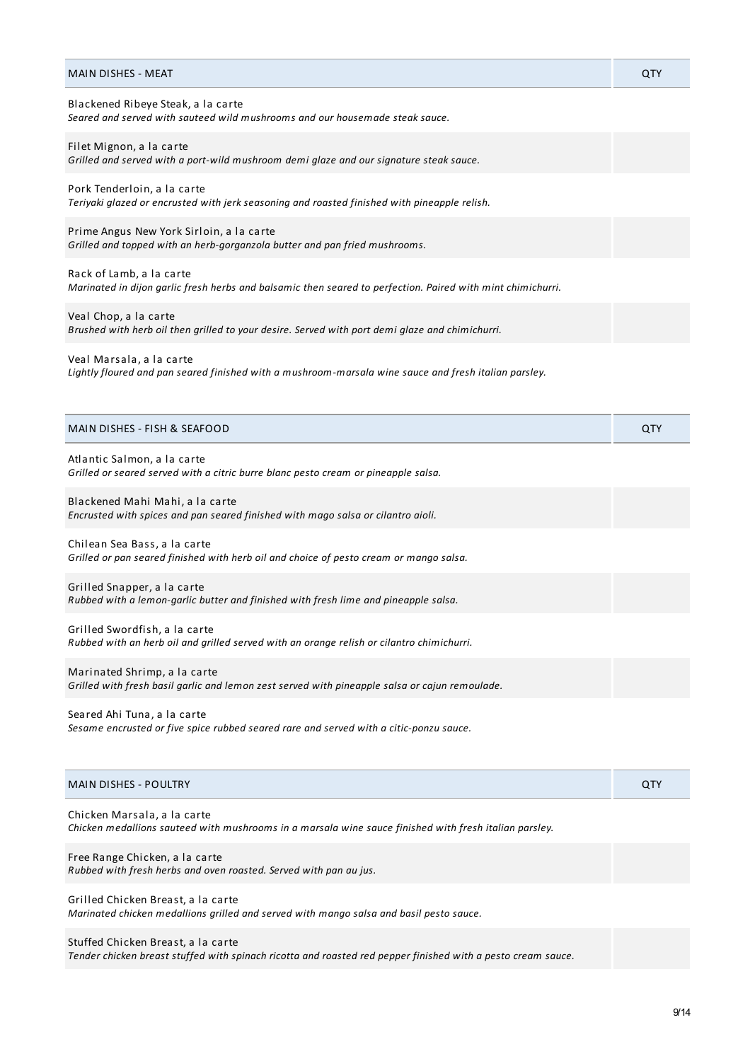| MAIN DISHES - MEAT                                                                                                                      | QTY |
|-----------------------------------------------------------------------------------------------------------------------------------------|-----|
| Blackened Ribeye Steak, a la carte<br>Seared and served with sauteed wild mushrooms and our housemade steak sauce.                      |     |
| Filet Mignon, a la carte<br>Grilled and served with a port-wild mushroom demi glaze and our signature steak sauce.                      |     |
| Pork Tenderloin, a la carte<br>Teriyaki glazed or encrusted with jerk seasoning and roasted finished with pineapple relish.             |     |
| Prime Angus New York Sirloin, a la carte<br>Grilled and topped with an herb-gorganzola butter and pan fried mushrooms.                  |     |
| Rack of Lamb, a la carte<br>Marinated in dijon garlic fresh herbs and balsamic then seared to perfection. Paired with mint chimichurri. |     |
| Veal Chop, a la carte<br>Brushed with herb oil then grilled to your desire. Served with port demi glaze and chimichurri.                |     |
| Veal Marsala, a la carte<br>Lightly floured and pan seared finished with a mushroom-marsala wine sauce and fresh italian parsley.       |     |
| MAIN DISHES - FISH & SEAFOOD                                                                                                            | QTY |
| Atlantic Salmon, a la carte<br>Grilled or seared served with a citric burre blanc pesto cream or pineapple salsa.                       |     |
| Blackened Mahi Mahi, a la carte<br>Encrusted with spices and pan seared finished with mago salsa or cilantro aioli.                     |     |
| Chilean Sea Bass, a la carte<br>Grilled or pan seared finished with herb oil and choice of pesto cream or mango salsa.                  |     |
| Grilled Snapper, a la carte<br>Rubbed with a lemon-garlic butter and finished with fresh lime and pineapple salsa.                      |     |
| Grilled Swordfish, a la carte<br>Rubbed with an herb oil and grilled served with an orange relish or cilantro chimichurri.              |     |
| Marinated Shrimp, a la carte<br>Grilled with fresh basil garlic and lemon zest served with pineapple salsa or cajun remoulade.          |     |
| Seared Ahi Tuna, a la carte<br>Sesame encrusted or five spice rubbed seared rare and served with a citic-ponzu sauce.                   |     |
| <b>MAIN DISHES - POULTRY</b>                                                                                                            | QTY |
| Chicken Marsala, a la carte<br>Chicken medallions sauteed with mushrooms in a marsala wine sauce finished with fresh italian parsley.   |     |
| Free Range Chicken, a la carte<br>Rubbed with fresh herbs and oven roasted. Served with pan au jus.                                     |     |
| Grilled Chicken Breast, a la carte<br>Marinated chicken medallions grilled and served with mango salsa and basil pesto sauce.           |     |

# Stuffed Chicken Breast, a la carte

Tender chicken breast stuffed with spinach ricotta and roasted red pepper finished with a pesto cream sauce.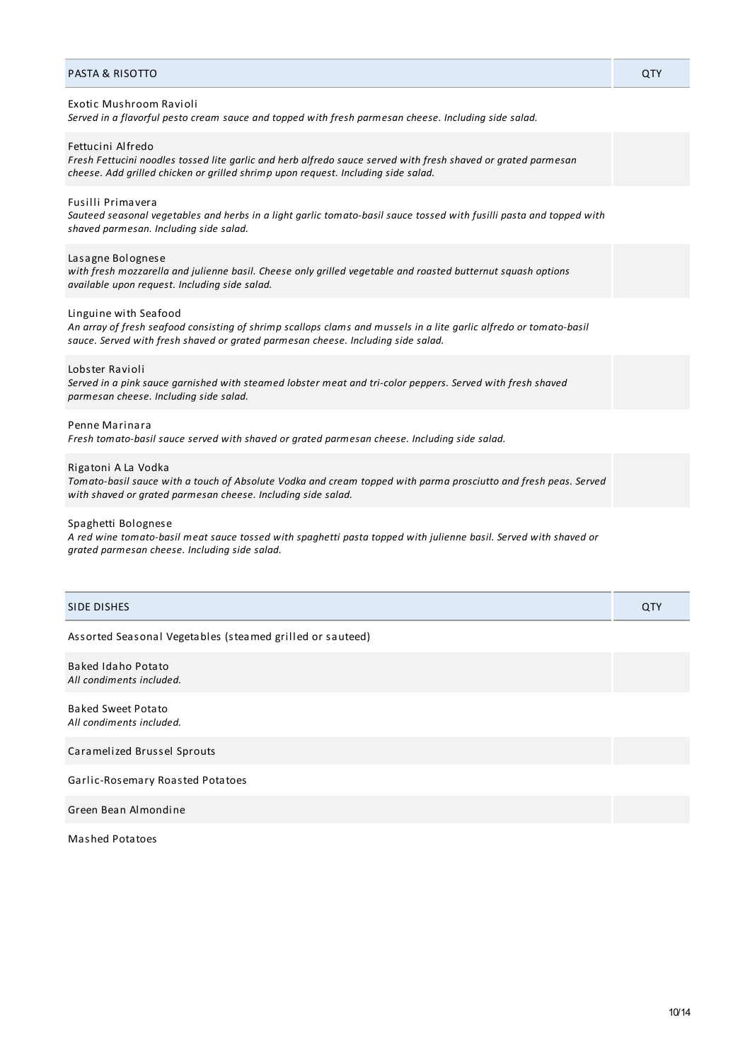#### PASTA & RISOTTO QTY

#### Exotic Mushroom Ravioli

*Served in a flavorful pesto cream sauce and topped with fresh parmesan cheese. Including side salad.*

Fettucini Alfredo

Fresh Fettucini noodles tossed lite garlic and herb alfredo sauce served with fresh shaved or grated parmesan *cheese. Add grilled chicken or grilled shrimp upon request. Including side salad.*

### Fusilli Primavera

Sauteed seasonal vegetables and herbs in a light garlic tomato-basil sauce tossed with fusilli pasta and topped with *shaved parmesan. Including side salad.*

#### Lasagne Bolognese

*with fresh mozzarella and julienne basil. Cheese only grilled vegetable and roasted butternut squash options available upon request. Including side salad.*

#### Linguine with Seafood

An array of fresh seafood consisting of shrimp scallops clams and mussels in a lite garlic alfredo or tomato-basil *sauce. Served with fresh shaved or grated parmesan cheese. Including side salad.*

#### Lobster Ravioli

Served in a pink sauce garnished with steamed lobster meat and tri-color peppers. Served with fresh shaved *parmesan cheese. Including side salad.*

## Penne Marinara

*Fresh tomato-basil sauce served with shaved or grated parmesan cheese. Including side salad.*

### Rigatoni A La Vodka

Tomato-basil sauce with a touch of Absolute Vodka and cream topped with parma prosciutto and fresh peas. Served *with shaved or grated parmesan cheese. Including side salad.*

#### Spaghetti Bolognese

A red wine tomato-basil meat sauce tossed with spaghetti pasta topped with julienne basil. Served with shaved or *grated parmesan cheese. Including side salad.*

| SIDE DISHES                                               | <b>QTY</b> |
|-----------------------------------------------------------|------------|
| Assorted Seasonal Vegetables (steamed grilled or sauteed) |            |
| <b>Baked Idaho Potato</b><br>All condiments included.     |            |
| <b>Baked Sweet Potato</b><br>All condiments included.     |            |
| Caramelized Brussel Sprouts                               |            |
| Garlic-Rosemary Roasted Potatoes                          |            |
| Green Bean Almondine                                      |            |

Mashed Potatoes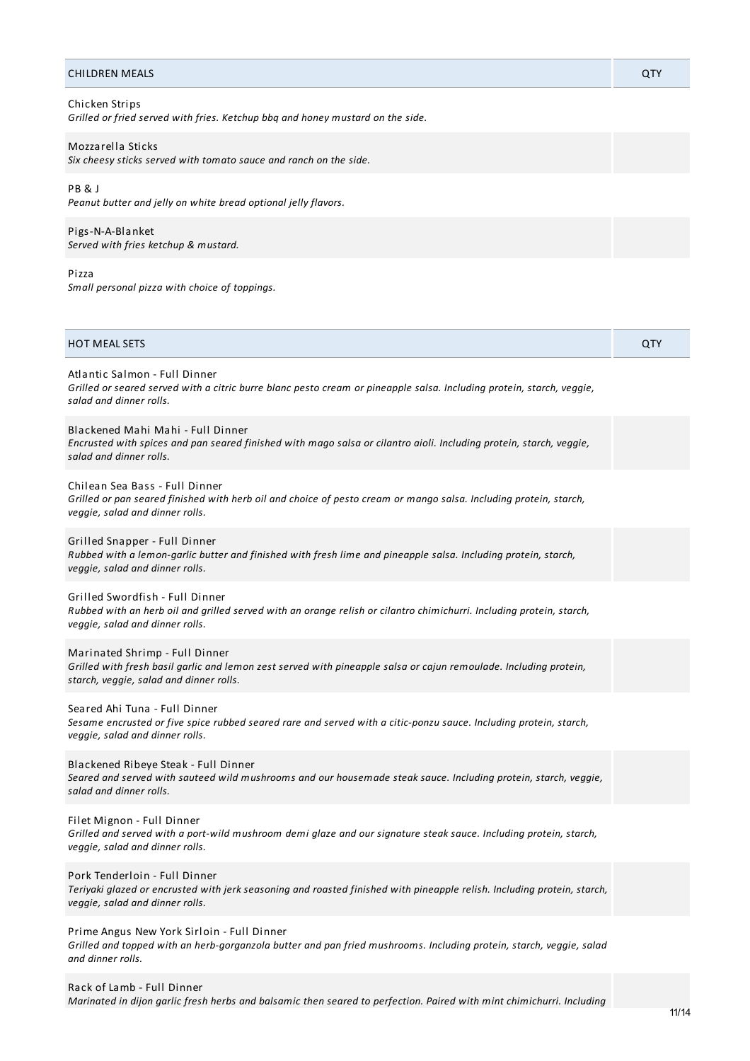#### **CHILDREN MEALS QTY**

# Chicken Strips

*Grilled or fried served with fries. Ketchup bbq and honey mustard on the side.*

## Mozzarella Sticks

*Six cheesy sticks served with tomato sauce and ranch on the side.*

### PB & J

*Peanut butter and jelly on white bread optional jelly flavors.*

Pigs-N-A-Blanket *Served with fries ketchup & mustard.*

# Pizza

*Small personal pizza with choice of toppings.*

| HOT MEAL SETS                                                                                                                                                                                  | QTY |
|------------------------------------------------------------------------------------------------------------------------------------------------------------------------------------------------|-----|
| Atlantic Salmon - Full Dinner<br>Grilled or seared served with a citric burre blanc pesto cream or pineapple salsa. Including protein, starch, veggie,<br>salad and dinner rolls.              |     |
| Blackened Mahi Mahi - Full Dinner<br>Encrusted with spices and pan seared finished with mago salsa or cilantro aioli. Including protein, starch, veggie,<br>salad and dinner rolls.            |     |
| Chilean Sea Bass - Full Dinner<br>Grilled or pan seared finished with herb oil and choice of pesto cream or mango salsa. Including protein, starch,<br>veggie, salad and dinner rolls.         |     |
| Grilled Snapper - Full Dinner<br>Rubbed with a lemon-garlic butter and finished with fresh lime and pineapple salsa. Including protein, starch,<br>veggie, salad and dinner rolls.             |     |
| Grilled Swordfish - Full Dinner<br>Rubbed with an herb oil and grilled served with an orange relish or cilantro chimichurri. Including protein, starch,<br>veggie, salad and dinner rolls.     |     |
| Marinated Shrimp - Full Dinner<br>Grilled with fresh basil garlic and lemon zest served with pineapple salsa or cajun remoulade. Including protein,<br>starch, veggie, salad and dinner rolls. |     |
| Seared Ahi Tuna - Full Dinner<br>Sesame encrusted or five spice rubbed seared rare and served with a citic-ponzu sauce. Including protein, starch,<br>veggie, salad and dinner rolls.          |     |
| Blackened Ribeye Steak - Full Dinner<br>Seared and served with sauteed wild mushrooms and our housemade steak sauce. Including protein, starch, veggie,<br>salad and dinner rolls.             |     |
| Filet Mignon - Full Dinner<br>Grilled and served with a port-wild mushroom demi glaze and our signature steak sauce. Including protein, starch,<br>veggie, salad and dinner rolls.             |     |
| Pork Tenderloin - Full Dinner<br>Teriyaki glazed or encrusted with jerk seasoning and roasted finished with pineapple relish. Including protein, starch,<br>veggie, salad and dinner rolls.    |     |
| Prime Angus New York Sirloin - Full Dinner                                                                                                                                                     |     |

Grilled and topped with an herb-gorganzola butter and pan fried mushrooms. Including protein, starch, veggie, salad *and dinner rolls.*

Rack of Lamb - Full Dinner

Marinated in dijon garlic fresh herbs and balsamic then seared to perfection. Paired with mint chimichurri. Including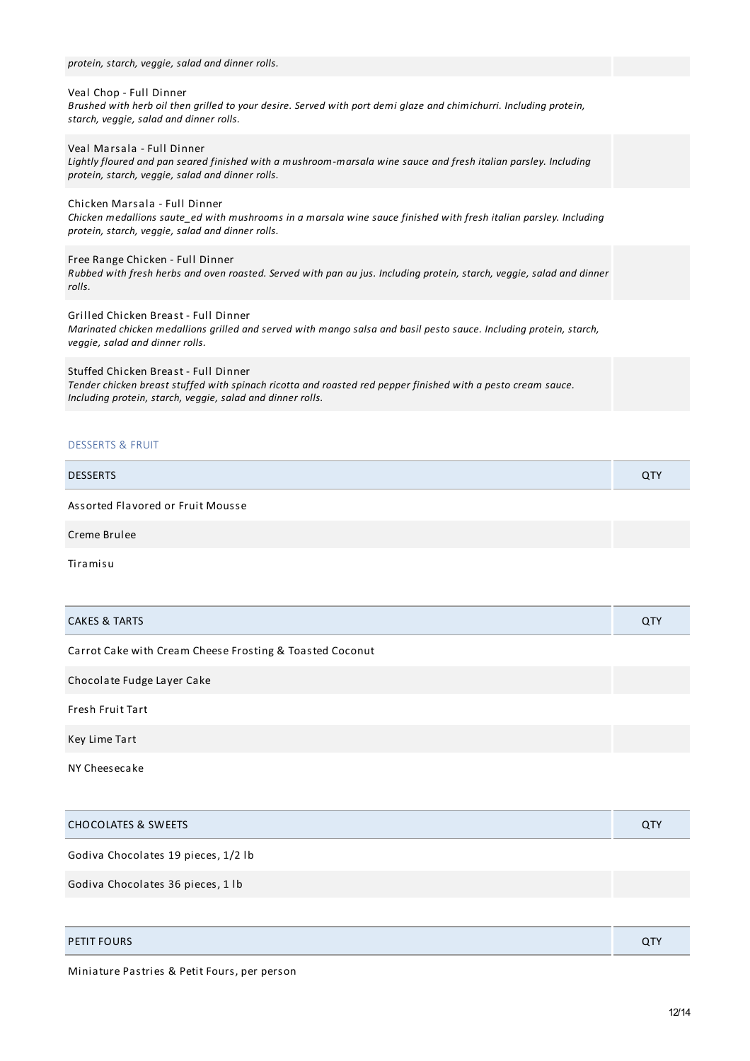| protein, starch, veggie, salad and dinner rolls.                                                                                                                                                                   |  |
|--------------------------------------------------------------------------------------------------------------------------------------------------------------------------------------------------------------------|--|
| Veal Chop - Full Dinner<br>Brushed with herb oil then grilled to your desire. Served with port demi glaze and chimichurri. Including protein,<br>starch, veggie, salad and dinner rolls.                           |  |
| Veal Marsala - Full Dinner<br>Lightly floured and pan seared finished with a mushroom-marsala wine sauce and fresh italian parsley. Including<br>protein, starch, veggie, salad and dinner rolls.                  |  |
| Chicken Marsala - Full Dinner<br>Chicken medallions saute_ed with mushrooms in a marsala wine sauce finished with fresh italian parsley. Including<br>protein, starch, veggie, salad and dinner rolls.             |  |
| Free Range Chicken - Full Dinner<br>Rubbed with fresh herbs and oven roasted. Served with pan au jus. Including protein, starch, veggie, salad and dinner<br>rolls.                                                |  |
| Grilled Chicken Breast - Full Dinner<br>Marinated chicken medallions grilled and served with mango salsa and basil pesto sauce. Including protein, starch,<br>veggie, salad and dinner rolls.                      |  |
| Stuffed Chicken Breast - Full Dinner<br>Tender chicken breast stuffed with spinach ricotta and roasted red pepper finished with a pesto cream sauce.<br>Including protein, starch, veggie, salad and dinner rolls. |  |

# DESSERTS & FRUIT

| <b>DESSERTS</b>                   | <b>QTY</b> |
|-----------------------------------|------------|
| Assorted Flavored or Fruit Mousse |            |
| Creme Brulee                      |            |

Tiramisu

| <b>CAKES &amp; TARTS</b>                                 | QTY |
|----------------------------------------------------------|-----|
| Carrot Cake with Cream Cheese Frosting & Toasted Coconut |     |
| Chocolate Fudge Layer Cake                               |     |
| <b>Fresh Fruit Tart</b>                                  |     |
| Key Lime Tart                                            |     |
| NY Cheesecake                                            |     |

| <b>CHOCOLATES &amp; SWEETS</b>      | QTY |
|-------------------------------------|-----|
| Godiva Chocolates 19 pieces, 1/2 lb |     |
| Godiva Chocolates 36 pieces, 1 lb   |     |
|                                     |     |
| <b>PETIT FOURS</b>                  | QTY |

Miniature Pastries & Petit Fours, per person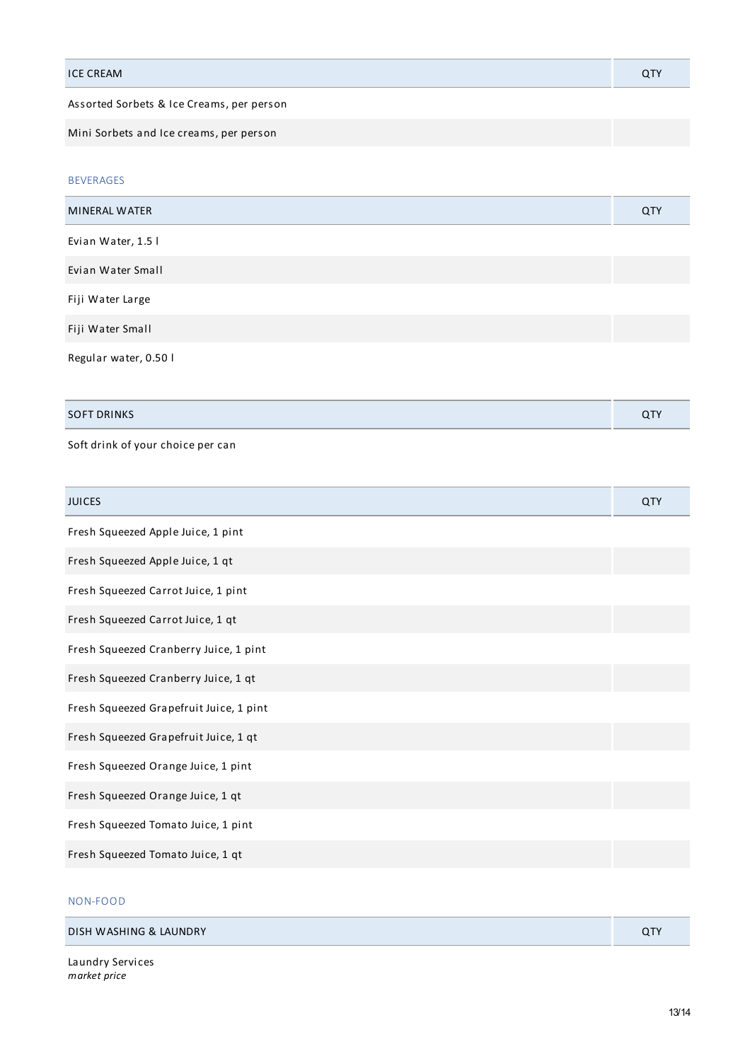| <b>ICE CREAM</b>                          | <b>QTY</b> |
|-------------------------------------------|------------|
| Assorted Sorbets & Ice Creams, per person |            |

Mini Sorbets and Ice creams, per person

BEVERAGES

| <b>MINERAL WATER</b>  | QTY |
|-----------------------|-----|
| Evian Water, 1.5 l    |     |
| Evian Water Small     |     |
| Fiji Water Large      |     |
| Fiji Water Small      |     |
| Regular water, 0.50 l |     |

| <b>SINK C</b><br><b>SOFT</b><br>◡ |  |
|-----------------------------------|--|
|                                   |  |

Soft drink of your choice per can

| <b>JUICES</b>                           | <b>QTY</b> |
|-----------------------------------------|------------|
| Fresh Squeezed Apple Juice, 1 pint      |            |
| Fresh Squeezed Apple Juice, 1 qt        |            |
| Fresh Squeezed Carrot Juice, 1 pint     |            |
| Fresh Squeezed Carrot Juice, 1 qt       |            |
| Fresh Squeezed Cranberry Juice, 1 pint  |            |
| Fresh Squeezed Cranberry Juice, 1 qt    |            |
| Fresh Squeezed Grapefruit Juice, 1 pint |            |
| Fresh Squeezed Grapefruit Juice, 1 qt   |            |
| Fresh Squeezed Orange Juice, 1 pint     |            |
| Fresh Squeezed Orange Juice, 1 qt       |            |
| Fresh Squeezed Tomato Juice, 1 pint     |            |
| Fresh Squeezed Tomato Juice, 1 qt       |            |

# NON-FOOD

| DISH WASHING & LAUNDRY |  |
|------------------------|--|
|                        |  |

Laundry Services *market price*